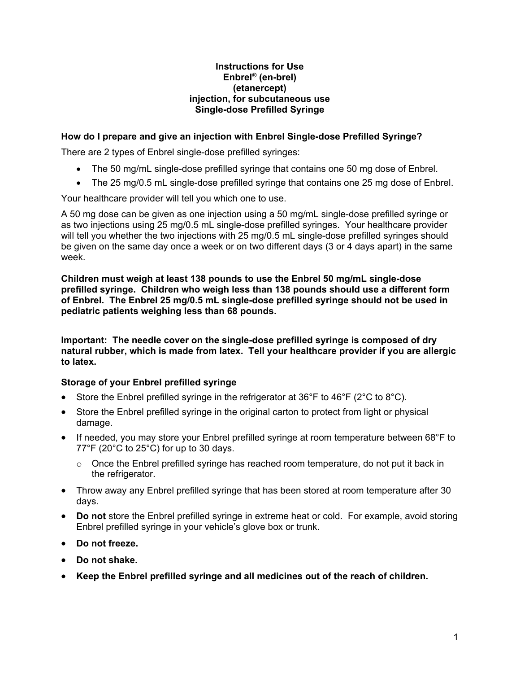#### **Instructions for Use Enbrel® (en-brel) (etanercept) injection, for subcutaneous use Single-dose Prefilled Syringe**

## **How do I prepare and give an injection with Enbrel Single-dose Prefilled Syringe?**

There are 2 types of Enbrel single-dose prefilled syringes:

- The 50 mg/mL single-dose prefilled syringe that contains one 50 mg dose of Enbrel.
- The 25 mg/0.5 mL single-dose prefilled syringe that contains one 25 mg dose of Enbrel.

Your healthcare provider will tell you which one to use.

A 50 mg dose can be given as one injection using a 50 mg/mL single-dose prefilled syringe or as two injections using 25 mg/0.5 mL single-dose prefilled syringes. Your healthcare provider will tell you whether the two injections with 25 mg/0.5 mL single-dose prefilled syringes should be given on the same day once a week or on two different days (3 or 4 days apart) in the same week.

**Children must weigh at least 138 pounds to use the Enbrel 50 mg/mL single-dose prefilled syringe. Children who weigh less than 138 pounds should use a different form of Enbrel. The Enbrel 25 mg/0.5 mL single-dose prefilled syringe should not be used in pediatric patients weighing less than 68 pounds.**

**Important: The needle cover on the single-dose prefilled syringe is composed of dry natural rubber, which is made from latex. Tell your healthcare provider if you are allergic to latex.**

### **Storage of your Enbrel prefilled syringe**

- Store the Enbrel prefilled syringe in the refrigerator at  $36^{\circ}$ F to  $46^{\circ}$ F ( $2^{\circ}$ C to  $8^{\circ}$ C).
- Store the Enbrel prefilled syringe in the original carton to protect from light or physical damage.
- If needed, you may store your Enbrel prefilled syringe at room temperature between 68°F to 77°F (20°C to 25°C) for up to 30 days.
	- $\circ$  Once the Enbrel prefilled syringe has reached room temperature, do not put it back in the refrigerator.
- Throw away any Enbrel prefilled syringe that has been stored at room temperature after 30 days.
- **Do not** store the Enbrel prefilled syringe in extreme heat or cold. For example, avoid storing Enbrel prefilled syringe in your vehicle's glove box or trunk.
- **Do not freeze.**
- **Do not shake.**
- **Keep the Enbrel prefilled syringe and all medicines out of the reach of children.**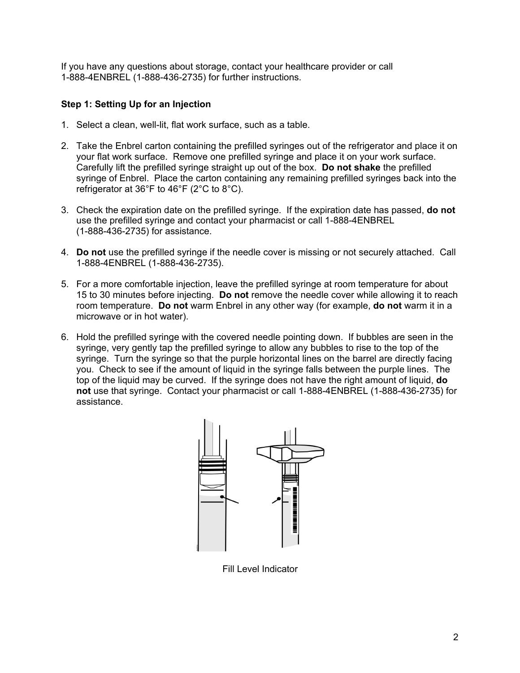If you have any questions about storage, contact your healthcare provider or call 1-888-4ENBREL (1-888-436-2735) for further instructions.

## **Step 1: Setting Up for an Injection**

- 1. Select a clean, well-lit, flat work surface, such as a table.
- 2. Take the Enbrel carton containing the prefilled syringes out of the refrigerator and place it on your flat work surface. Remove one prefilled syringe and place it on your work surface. Carefully lift the prefilled syringe straight up out of the box. **Do not shake** the prefilled syringe of Enbrel. Place the carton containing any remaining prefilled syringes back into the refrigerator at 36°F to 46°F (2°C to 8°C).
- 3. Check the expiration date on the prefilled syringe. If the expiration date has passed, **do not** use the prefilled syringe and contact your pharmacist or call 1-888-4ENBREL (1-888-436-2735) for assistance.
- 4. **Do not** use the prefilled syringe if the needle cover is missing or not securely attached. Call 1-888-4ENBREL (1-888-436-2735).
- 5. For a more comfortable injection, leave the prefilled syringe at room temperature for about 15 to 30 minutes before injecting. **Do not** remove the needle cover while allowing it to reach room temperature. **Do not** warm Enbrel in any other way (for example, **do not** warm it in a microwave or in hot water).
- 6. Hold the prefilled syringe with the covered needle pointing down. If bubbles are seen in the syringe, very gently tap the prefilled syringe to allow any bubbles to rise to the top of the syringe. Turn the syringe so that the purple horizontal lines on the barrel are directly facing you. Check to see if the amount of liquid in the syringe falls between the purple lines. The top of the liquid may be curved. If the syringe does not have the right amount of liquid, **do not** use that syringe. Contact your pharmacist or call 1-888-4ENBREL (1-888-436-2735) for assistance.



Fill Level Indicator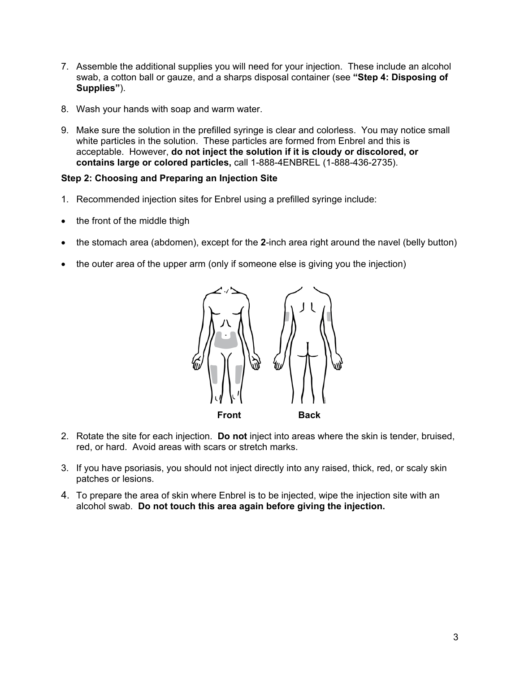- 7. Assemble the additional supplies you will need for your injection. These include an alcohol swab, a cotton ball or gauze, and a sharps disposal container (see **"Step 4: Disposing of Supplies"**).
- 8. Wash your hands with soap and warm water.
- 9. Make sure the solution in the prefilled syringe is clear and colorless. You may notice small white particles in the solution. These particles are formed from Enbrel and this is acceptable. However, **do not inject the solution if it is cloudy or discolored, or contains large or colored particles,** call 1-888-4ENBREL (1-888-436-2735).

### **Step 2: Choosing and Preparing an Injection Site**

- 1. Recommended injection sites for Enbrel using a prefilled syringe include:
- the front of the middle thigh
- the stomach area (abdomen), except for the **2**-inch area right around the navel (belly button)
- the outer area of the upper arm (only if someone else is giving you the injection)



- 2. Rotate the site for each injection. **Do not** inject into areas where the skin is tender, bruised, red, or hard. Avoid areas with scars or stretch marks.
- 3. If you have psoriasis, you should not inject directly into any raised, thick, red, or scaly skin patches or lesions.
- 4. To prepare the area of skin where Enbrel is to be injected, wipe the injection site with an alcohol swab. **Do not touch this area again before giving the injection.**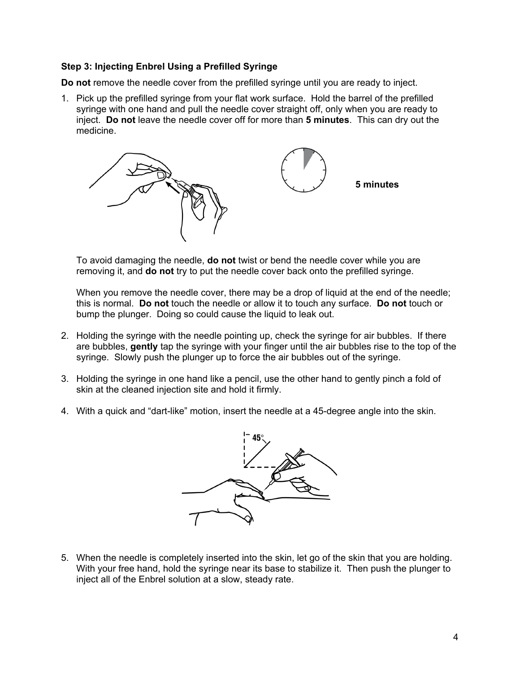## **Step 3: Injecting Enbrel Using a Prefilled Syringe**

**Do not** remove the needle cover from the prefilled syringe until you are ready to inject.

1. Pick up the prefilled syringe from your flat work surface. Hold the barrel of the prefilled syringe with one hand and pull the needle cover straight off, only when you are ready to inject. **Do not** leave the needle cover off for more than **5 minutes**. This can dry out the medicine.



To avoid damaging the needle, **do not** twist or bend the needle cover while you are removing it, and **do not** try to put the needle cover back onto the prefilled syringe.

When you remove the needle cover, there may be a drop of liquid at the end of the needle; this is normal. **Do not** touch the needle or allow it to touch any surface. **Do not** touch or bump the plunger. Doing so could cause the liquid to leak out.

- 2. Holding the syringe with the needle pointing up, check the syringe for air bubbles. If there are bubbles, **gently** tap the syringe with your finger until the air bubbles rise to the top of the syringe. Slowly push the plunger up to force the air bubbles out of the syringe.
- 3. Holding the syringe in one hand like a pencil, use the other hand to gently pinch a fold of skin at the cleaned injection site and hold it firmly.
- 4. With a quick and "dart-like" motion, insert the needle at a 45-degree angle into the skin.



5. When the needle is completely inserted into the skin, let go of the skin that you are holding. With your free hand, hold the syringe near its base to stabilize it. Then push the plunger to inject all of the Enbrel solution at a slow, steady rate.